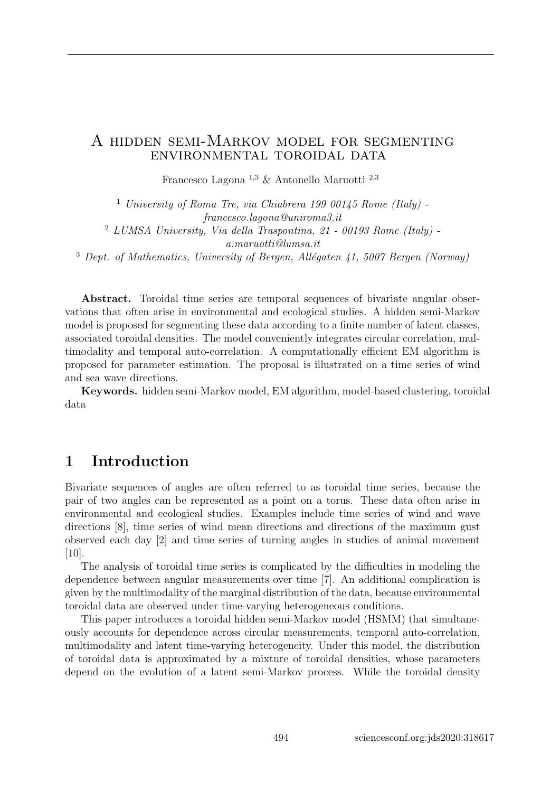#### A hidden semi-Markov model for segmenting environmental toroidal data

Francesco Lagona $^{1,3}$  & Antonello Maruotti $^{2,3}$ 

<sup>1</sup> University of Roma Tre, via Chiabrera 199 00145 Rome (Italy) francesco.lagona@uniroma3.it <sup>2</sup> LUMSA University, Via della Traspontina, 21 - 00193 Rome (Italy) a.maruotti@lumsa.it

 $3$  Dept. of Mathematics, University of Bergen, Allégaten 41, 5007 Bergen (Norway)

Abstract. Toroidal time series are temporal sequences of bivariate angular observations that often arise in environmental and ecological studies. A hidden semi-Markov model is proposed for segmenting these data according to a finite number of latent classes, associated toroidal densities. The model conveniently integrates circular correlation, multimodality and temporal auto-correlation. A computationally efficient EM algorithm is proposed for parameter estimation. The proposal is illustrated on a time series of wind and sea wave directions.

Keywords. hidden semi-Markov model, EM algorithm, model-based clustering, toroidal data

## 1 Introduction

Bivariate sequences of angles are often referred to as toroidal time series, because the pair of two angles can be represented as a point on a torus. These data often arise in environmental and ecological studies. Examples include time series of wind and wave directions [8], time series of wind mean directions and directions of the maximum gust observed each day [2] and time series of turning angles in studies of animal movement [10].

The analysis of toroidal time series is complicated by the difficulties in modeling the dependence between angular measurements over time [7]. An additional complication is given by the multimodality of the marginal distribution of the data, because environmental toroidal data are observed under time-varying heterogeneous conditions.

This paper introduces a toroidal hidden semi-Markov model (HSMM) that simultaneously accounts for dependence across circular measurements, temporal auto-correlation, multimodality and latent time-varying heterogeneity. Under this model, the distribution of toroidal data is approximated by a mixture of toroidal densities, whose parameters depend on the evolution of a latent semi-Markov process. While the toroidal density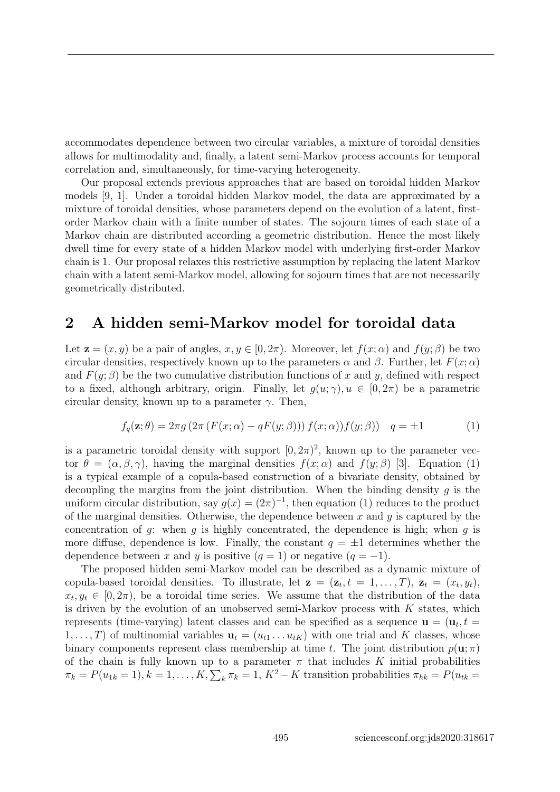accommodates dependence between two circular variables, a mixture of toroidal densities allows for multimodality and, finally, a latent semi-Markov process accounts for temporal correlation and, simultaneously, for time-varying heterogeneity.

Our proposal extends previous approaches that are based on toroidal hidden Markov models [9, 1]. Under a toroidal hidden Markov model, the data are approximated by a mixture of toroidal densities, whose parameters depend on the evolution of a latent, firstorder Markov chain with a finite number of states. The sojourn times of each state of a Markov chain are distributed according a geometric distribution. Hence the most likely dwell time for every state of a hidden Markov model with underlying first-order Markov chain is 1. Our proposal relaxes this restrictive assumption by replacing the latent Markov chain with a latent semi-Markov model, allowing for sojourn times that are not necessarily geometrically distributed.

### 2 A hidden semi-Markov model for toroidal data

Let  $\mathbf{z} = (x, y)$  be a pair of angles,  $x, y \in [0, 2\pi)$ . Moreover, let  $f(x; \alpha)$  and  $f(y; \beta)$  be two circular densities, respectively known up to the parameters  $\alpha$  and  $\beta$ . Further, let  $F(x; \alpha)$ and  $F(y; \beta)$  be the two cumulative distribution functions of x and y, defined with respect to a fixed, although arbitrary, origin. Finally, let  $q(u; \gamma)$ ,  $u \in [0, 2\pi)$  be a parametric circular density, known up to a parameter  $\gamma$ . Then,

$$
f_q(\mathbf{z};\theta) = 2\pi g \left(2\pi \left(F(x;\alpha) - qF(y;\beta)\right)\right) f(x;\alpha) f(y;\beta) \right) \quad q = \pm 1 \tag{1}
$$

is a parametric toroidal density with support  $[0, 2\pi)^2$ , known up to the parameter vector  $\theta = (\alpha, \beta, \gamma)$ , having the marginal densities  $f(x; \alpha)$  and  $f(y; \beta)$  [3]. Equation (1) is a typical example of a copula-based construction of a bivariate density, obtained by decoupling the margins from the joint distribution. When the binding density  $q$  is the uniform circular distribution, say  $g(x) = (2\pi)^{-1}$ , then equation (1) reduces to the product of the marginal densities. Otherwise, the dependence between  $x$  and  $y$  is captured by the concentration of  $g$ : when  $g$  is highly concentrated, the dependence is high; when  $g$  is more diffuse, dependence is low. Finally, the constant  $q = \pm 1$  determines whether the dependence between x and y is positive  $(q = 1)$  or negative  $(q = -1)$ .

The proposed hidden semi-Markov model can be described as a dynamic mixture of copula-based toroidal densities. To illustrate, let  $\mathbf{z} = (\mathbf{z}_t, t = 1, \ldots, T), \mathbf{z}_t = (x_t, y_t),$  $x_t, y_t \in [0, 2\pi)$ , be a toroidal time series. We assume that the distribution of the data is driven by the evolution of an unobserved semi-Markov process with  $K$  states, which represents (time-varying) latent classes and can be specified as a sequence  $\mathbf{u} = (\mathbf{u}_t, t)$  $1,\ldots,T$ ) of multinomial variables  $\mathbf{u}_t = (u_{t1},\ldots,u_{tK})$  with one trial and K classes, whose binary components represent class membership at time t. The joint distribution  $p(\mathbf{u}; \pi)$ of the chain is fully known up to a parameter  $\pi$  that includes K initial probabilities  $\pi_k = P(u_{1k} = 1), k = 1, \ldots, K, \sum_k \pi_k = 1, K^2 - K$  transition probabilities  $\pi_{hk} = P(u_{tk} = 1)$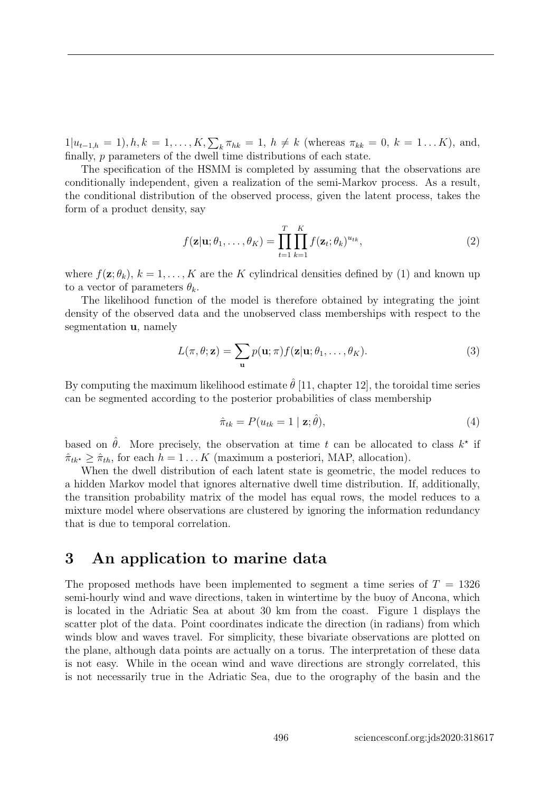$1|u_{t-1,h} = 1, h, k = 1, \ldots, K, \sum_{k} \pi_{hk} = 1, h \neq k$  (whereas  $\pi_{kk} = 0, k = 1 \ldots K$ ), and, finally, p parameters of the dwell time distributions of each state.

The specification of the HSMM is completed by assuming that the observations are conditionally independent, given a realization of the semi-Markov process. As a result, the conditional distribution of the observed process, given the latent process, takes the form of a product density, say

$$
f(\mathbf{z}|\mathbf{u};\theta_1,\ldots,\theta_K) = \prod_{t=1}^T \prod_{k=1}^K f(\mathbf{z}_t;\theta_k)^{u_{tk}},
$$
\n(2)

where  $f(\mathbf{z}; \theta_k)$ ,  $k = 1, \ldots, K$  are the K cylindrical densities defined by (1) and known up to a vector of parameters  $\theta_k$ .

The likelihood function of the model is therefore obtained by integrating the joint density of the observed data and the unobserved class memberships with respect to the segmentation u, namely

$$
L(\pi, \theta; \mathbf{z}) = \sum_{\mathbf{u}} p(\mathbf{u}; \pi) f(\mathbf{z} | \mathbf{u}; \theta_1, \dots, \theta_K).
$$
 (3)

By computing the maximum likelihood estimate  $\hat{\theta}$  [11, chapter 12], the toroidal time series can be segmented according to the posterior probabilities of class membership

$$
\hat{\pi}_{tk} = P(u_{tk} = 1 \mid \mathbf{z}; \hat{\theta}), \tag{4}
$$

based on  $\hat{\theta}$ . More precisely, the observation at time t can be allocated to class  $k^*$  if  $\hat{\pi}_{tk^*} > \hat{\pi}_{th}$ , for each  $h = 1 \dots K$  (maximum a posteriori, MAP, allocation).

When the dwell distribution of each latent state is geometric, the model reduces to a hidden Markov model that ignores alternative dwell time distribution. If, additionally, the transition probability matrix of the model has equal rows, the model reduces to a mixture model where observations are clustered by ignoring the information redundancy that is due to temporal correlation.

## 3 An application to marine data

The proposed methods have been implemented to segment a time series of  $T = 1326$ semi-hourly wind and wave directions, taken in wintertime by the buoy of Ancona, which is located in the Adriatic Sea at about 30 km from the coast. Figure 1 displays the scatter plot of the data. Point coordinates indicate the direction (in radians) from which winds blow and waves travel. For simplicity, these bivariate observations are plotted on the plane, although data points are actually on a torus. The interpretation of these data is not easy. While in the ocean wind and wave directions are strongly correlated, this is not necessarily true in the Adriatic Sea, due to the orography of the basin and the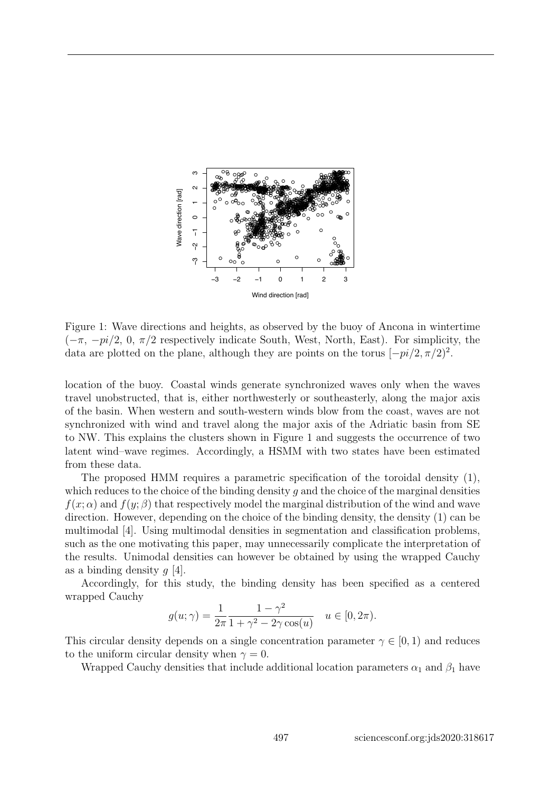

Figure 1: Wave directions and heights, as observed by the buoy of Ancona in wintertime  $(-\pi, -pi/2, 0, \pi/2$  respectively indicate South, West, North, East). For simplicity, the data are plotted on the plane, although they are points on the torus  $[-pi/2, \pi/2)^2$ .

location of the buoy. Coastal winds generate synchronized waves only when the waves travel unobstructed, that is, either northwesterly or southeasterly, along the major axis of the basin. When western and south-western winds blow from the coast, waves are not synchronized with wind and travel along the major axis of the Adriatic basin from SE to NW. This explains the clusters shown in Figure 1 and suggests the occurrence of two latent wind–wave regimes. Accordingly, a HSMM with two states have been estimated from these data.

The proposed HMM requires a parametric specification of the toroidal density (1), which reduces to the choice of the binding density q and the choice of the marginal densities  $f(x; \alpha)$  and  $f(y; \beta)$  that respectively model the marginal distribution of the wind and wave direction. However, depending on the choice of the binding density, the density (1) can be multimodal [4]. Using multimodal densities in segmentation and classification problems, such as the one motivating this paper, may unnecessarily complicate the interpretation of the results. Unimodal densities can however be obtained by using the wrapped Cauchy as a binding density  $q \neq 4$ .

Accordingly, for this study, the binding density has been specified as a centered wrapped Cauchy

$$
g(u; \gamma) = \frac{1}{2\pi} \frac{1 - \gamma^2}{1 + \gamma^2 - 2\gamma \cos(u)} \quad u \in [0, 2\pi).
$$

This circular density depends on a single concentration parameter  $\gamma \in [0, 1)$  and reduces to the uniform circular density when  $\gamma = 0$ .

Wrapped Cauchy densities that include additional location parameters  $\alpha_1$  and  $\beta_1$  have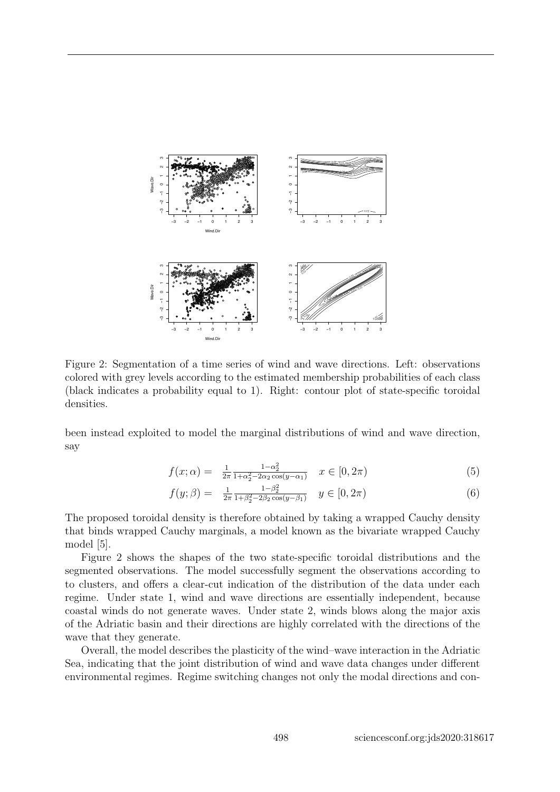

Figure 2: Segmentation of a time series of wind and wave directions. Left: observations colored with grey levels according to the estimated membership probabilities of each class (black indicates a probability equal to 1). Right: contour plot of state-specific toroidal densities.

been instead exploited to model the marginal distributions of wind and wave direction, say

$$
f(x; \alpha) = \frac{1}{2\pi} \frac{1 - \alpha_2^2}{1 + \alpha_2^2 - 2\alpha_2 \cos(y - \alpha_1)} \quad x \in [0, 2\pi)
$$
 (5)

$$
f(y; \beta) = \frac{1}{2\pi} \frac{1 - \beta_2^2}{1 + \beta_2^2 - 2\beta_2 \cos(y - \beta_1)} \quad y \in [0, 2\pi)
$$
 (6)

The proposed toroidal density is therefore obtained by taking a wrapped Cauchy density that binds wrapped Cauchy marginals, a model known as the bivariate wrapped Cauchy model [5].

Figure 2 shows the shapes of the two state-specific toroidal distributions and the segmented observations. The model successfully segment the observations according to to clusters, and offers a clear-cut indication of the distribution of the data under each regime. Under state 1, wind and wave directions are essentially independent, because coastal winds do not generate waves. Under state 2, winds blows along the major axis of the Adriatic basin and their directions are highly correlated with the directions of the wave that they generate.

Overall, the model describes the plasticity of the wind–wave interaction in the Adriatic Sea, indicating that the joint distribution of wind and wave data changes under different environmental regimes. Regime switching changes not only the modal directions and con-